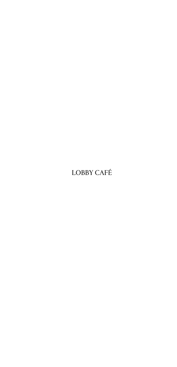# **LOBBY CAFÉ**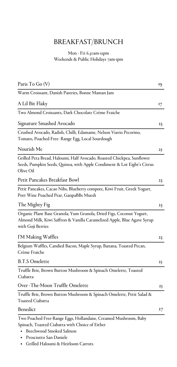### BREAKFAST/BRUNCH

#### Mon - Fri 6.30am-12pm Weekends & Public Holidays 7am-1pm

| Paris To Go (V)                                                                                                                                                      | 19 |
|----------------------------------------------------------------------------------------------------------------------------------------------------------------------|----|
| Warm Croissant, Danish Pastries, Bonne Maman Jam                                                                                                                     |    |
| A Lil Bit Flaky                                                                                                                                                      | 17 |
| Two Almond Croissants, Dark Chocolate Crème Fraiche                                                                                                                  |    |
| Signature Smashed Avocado                                                                                                                                            | 23 |
| Crushed Avocado, Radish, Chilli, Edamame, Nelson Viavio Pecorino,<br>Tomato, Poached Free- Range Egg, Local Sourdough                                                |    |
| Nourish Me                                                                                                                                                           | 25 |
| Grilled Peta Bread, Haloumi, Half Avocado, Roasted Chickpea, Sunflower<br>Seeds, Pumpkin Seeds, Quinoa, with Apple Condiment & Lot Eight's Citrus<br>Olive Oil       |    |
| Petit Pancakes Breakfast Bowl                                                                                                                                        | 23 |
| Petit Pancakes, Cacao Nibs, Blueberry compote, Kiwi Fruit, Greek Yogurt,<br>Port Wine Poached Pear, GanpaBBs Muesli                                                  |    |
| The Mighty Fig                                                                                                                                                       | 23 |
| Organic Plant Base Granola; Yum Granola, Dried Figs, Coconut Yogurt,<br>Almond Milk, Kiwi Saffron & Vanilla Caramelized Apple, Blue Agave Syrup<br>with Goji Berries |    |
| I'M Making Waffles                                                                                                                                                   | 23 |
| Belgium Waffles, Candied Bacon, Maple Syrup, Banana, Toasted Pecan,<br>Crème Fraiche                                                                                 |    |
| <b>B.T.S Omelette</b>                                                                                                                                                | 25 |
| Truffle Brie, Brown Button Mushroom & Spinach Omelette, Toasted<br>Ciabatta                                                                                          |    |
| Over -The-Moon Truffle Omelette                                                                                                                                      | 25 |
| Truffle Brie, Brown Button Mushroom & Spinach Omelette, Petit Salad &<br>Toasted Ciabatta                                                                            |    |
| Benedict                                                                                                                                                             | 27 |
| Two Poached Free-Range Eggs, Hollandaise, Creamed Mushroom, Baby<br>Spinach, Toasted Ciabatta with Choice of Either<br>Beechwood Smoked Salmon                       |    |

- Prosciutto San Daniele
- Grilled Haloumi & Heirloom Carrots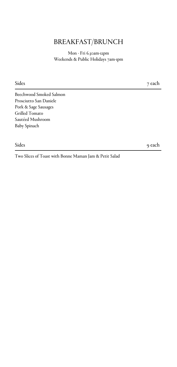### BREAKFAST/BRUNCH

Mon - Fri 6.30am-12pm Weekends & Public Holidays 7am-1pm

Sides 7 each

Beechwood Smoked Salmon Prosciutto San Daniele Pork & Sage Sausages Grilled Tomato Sautéed Mushroom Baby Spinach

Sides 9 each 9 each 9 each 9 each 9 each 9 each 9 each 9 each 9 each 9 each 9 each 9 each 9 each 9 each 9 each

Two Slices of Toast with Bonne Maman Jam & Petit Salad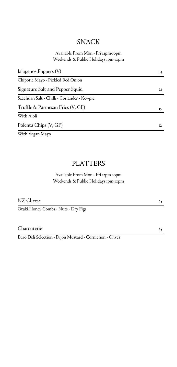### SNACK

#### Available From Mon - Fri 12pm-10pm Weekends & Public Holidays 1pm-10pm

| Jalapenos Poppers (V)                       | 19 |
|---------------------------------------------|----|
| Chipotle Mayo - Pickled Red Onion           |    |
| Signature Salt and Pepper Squid             | 21 |
| Szechuan Salt - Chilli - Coriander - Kewpie |    |
| Truffle & Parmesan Fries (V, GF)            | 15 |
| With Aioli                                  |    |
| Polenta Chips (V, GF)                       | 12 |
| With Vegan Mayo                             |    |

### PLATTERS

Available From Mon - Fri 12pm-10pm Weekends & Public Holidays 1pm-10pm

NZ Cheese

Otaki Honey Combs - Nuts - Dry Figs

Charcuterie

Euro Deli Selection - Dijon Mustard - Cornichon - Olives

25

25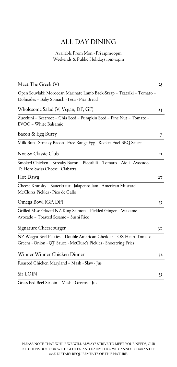### ALL DAY DINING

#### Available From Mon - Fri 12pm-10pm Weekends & Public Holidays 1pm-10pm

| Meet The Greek (V)                                                                                                                      | 25 |
|-----------------------------------------------------------------------------------------------------------------------------------------|----|
| Open Souvlaki: Moroccan Marinate Lamb Back-Strap - Tzatziki - Tomato -<br>Dolmades - Baby Spinach - Feta - Pita Bread                   |    |
| Wholesome Salad (V, Vegan, DF, GF)                                                                                                      | 23 |
| Zucchini - Beetroot - Chia Seed - Pumpkin Seed - Pine Nut - Tomato -<br>EVOO - White Balsamic                                           |    |
| Bacon & Egg Butty                                                                                                                       | 17 |
| Milk Bun - Streaky Bacon - Free-Range Egg - Rocket Fuel BBQ Sauce                                                                       |    |
| Not So Classic Club                                                                                                                     | 21 |
| Smoked Chicken – Streaky Bacon – Piccalilli – Tomato – Aioli - Avocado -<br>Te Horo Swiss Cheese - Ciabatta                             |    |
| Hot Dawg                                                                                                                                | 27 |
| Cheese Kransky - Sauerkraut - Jalapenos Jam - American Mustard -<br>McClures Pickles - Pico de Gallo                                    |    |
| Omega Bowl (GF, DF)                                                                                                                     | 33 |
| Grilled Miso Glazed NZ King Salmon - Pickled Ginger - Wakame -<br>Avocado - Toasted Sesame - Sushi Rice                                 |    |
| Signature Cheeseburger                                                                                                                  | 30 |
| NZ Wagyu Beef Patties - Double American Cheddar - OX Heart Tomato -<br>Greens - Onion - QT Sauce - McClure's Pickles - Shoestring Fries |    |
| Winner Winner Chicken Dinner                                                                                                            | 32 |
| Roasted Chicken Maryland - Mash - Slaw - Jus                                                                                            |    |
| Sir LOIN                                                                                                                                | 35 |
|                                                                                                                                         |    |

Grass Fed Beef Sirloin – Mash - Greens – Jus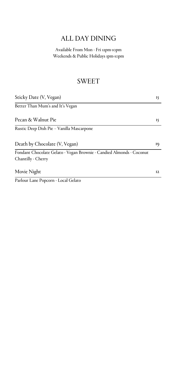# ALL DAY DINING

Available From Mon - Fri 12pm-10pm Weekends & Public Holidays 1pm-10pm

### SWEET

| Sticky Date (V, Vegan)                                                                     | I٢ |
|--------------------------------------------------------------------------------------------|----|
| Better Than Mum's and It's Vegan                                                           |    |
| Pecan & Walnut Pie                                                                         | I٢ |
| Rustic Deep Dish Pie - Vanilla Mascarpone                                                  |    |
| Death by Chocolate (V, Vegan)                                                              | 19 |
| Fondant Chocolate Gelato - Vegan Brownie - Candied Almonds - Coconut<br>Chantilly - Cherry |    |
| Movie Night                                                                                | 12 |
| Parlour Lane Popcorn - Local Gelato                                                        |    |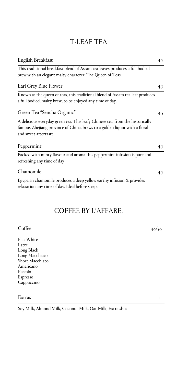### T-LEAF TEA

| English Breakfast                                                             | 45  |
|-------------------------------------------------------------------------------|-----|
| This traditional breakfast blend of Assam tea leaves produces a full bodied   |     |
| brew with an elegant malty character. The Queen of Teas.                      |     |
| Earl Grey Blue Flower                                                         | 4.5 |
| Known as the queen of teas, this traditional blend of Assam tea leaf produces |     |
| a full bodied, malty brew, to be enjoyed any time of day.                     |     |
| Green Tea "Sencha Organic"                                                    | 4.5 |
| A delicious everyday green tea. This leafy Chinese tea, from the historically |     |
| famous Zhejiang province of China, brews to a golden liquor with a floral     |     |
| and sweet aftertaste.                                                         |     |
| Peppermint                                                                    | 45  |
| Packed with minty flavour and aroma this peppermint infusion is pure and      |     |
| refreshing any time of day                                                    |     |
| Chamomile                                                                     | 4.5 |
| Egyptian chamomile produces a deep yellow earthy infusion & provides          |     |
| relaxation any time of day. Ideal before sleep.                               |     |
|                                                                               |     |
|                                                                               |     |
| COFFEE BY L'AFFARE,                                                           |     |

| Coffee | 4.5/5.5 |
|--------|---------|
|        |         |

Flat White Latte Long Black Long Macchiato Short Macchiato Americano Piccolo Espresso Cappuccino Extras the contract of the contract of the contract of the contract of the contract of the contract of the contract of the contract of the contract of the contract of the contract of the contract of the contract of the con

Soy Milk, Almond Milk, Coconut Milk, Oat Milk, Extra shot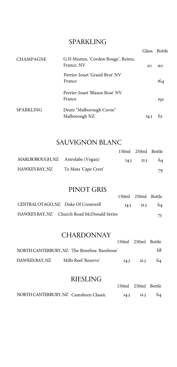### SPARKLING

|                  |                                                | <b>Glass</b> | <b>Bottle</b> |
|------------------|------------------------------------------------|--------------|---------------|
| <b>CHAMPAGNE</b> | G.H Mumm, 'Cordon Rouge', Reims,<br>France, NV | 2O           | ИO            |
|                  | Perrier-Jouet 'Grand Brut' NV<br>France        |              | 164           |
|                  | Perrier-Jouet 'Blason Rose' NV<br>France       |              | 192           |
| <b>SPARKLING</b> | Deutz "Malborough Cuvee"<br>Malborough NZ      |              |               |

#### SAUVIGNON BLANC

|                                   |                      |      | 150ml 250ml Bottle |    |
|-----------------------------------|----------------------|------|--------------------|----|
| MARLBOROUGH, NZ Astrolabe (Vegan) |                      | I4.5 | 2I.5               | 64 |
| HAWKE'S BAY, NZ                   | Te Mata 'Cape Crest' |      |                    | 79 |

#### PINOT GRIS

| .                                           |      |                    |     |
|---------------------------------------------|------|--------------------|-----|
|                                             |      | 150ml 250ml Bottle |     |
| CENTRAL OTAGO, NZ Duke Of Cromwell          | I4.5 | 21.5               | -64 |
| HAWKE'S BAY, NZ Church Road McDonald Series |      |                    | 75  |

### **CHARDONNAY**

|                |                                              |      | 150ml 250ml Bottle |    |
|----------------|----------------------------------------------|------|--------------------|----|
|                | NORTH CANTERBURY, NZ The Boneline 'Barebone' |      |                    | 68 |
| HAWKES BAY. NZ | Mills Reef 'Reserve'                         | 14.5 | 2I.5               | 64 |

#### RIESLING

| <u>IMLULII IU</u>                     |                    |      |     |
|---------------------------------------|--------------------|------|-----|
|                                       | 150ml 250ml Bottle |      |     |
| NORTH CANTERBURY, NZ Camshorn Classic | 14.5               | 21.5 | -64 |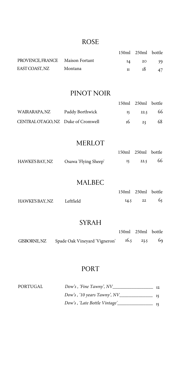#### ROSE

|                                 |         |    | 150ml 250ml bottle |     |
|---------------------------------|---------|----|--------------------|-----|
| PROVENCE, FRANCE Maison Fortant |         | I4 | - 20               | 59. |
| EAST COAST, NZ                  | Montana |    | 18                 | 47  |

### PINOT NOIR

|                                    |                 | 150ml 250ml bottle |    |
|------------------------------------|-----------------|--------------------|----|
| WAIRARAPA.NZ                       | Paddy Borthwick | $15 \t22.5 \t66$   |    |
| CENTRAL OTAGO, NZ Duke of Cromwell |                 | $16 \t 23$         | 68 |

#### MERLOT

|                 |                      | 150ml 250ml bottle |    |
|-----------------|----------------------|--------------------|----|
| HAWKE'S BAY, NZ | Osawa 'Flying Sheep' | 22.5               | 66 |

#### MALBEC

|                 |           |      | 150ml 250ml bottle |    |
|-----------------|-----------|------|--------------------|----|
| HAWKE'S BAY, NZ | Leftfield | 14.5 | 22                 | 65 |

#### SYRAH

|              |                               | 150ml 250ml bottle |  |
|--------------|-------------------------------|--------------------|--|
| GISBORNE, NZ | Spade Oak Vineyard 'Vigneron' | 16.5 23.5 69       |  |

#### PORT

| PORTUGAL | Dow's, 'Fine Tawny', NV      |  |
|----------|------------------------------|--|
|          | Dow's, '10 years Tawny', NV  |  |
|          | Dow's, 'Late Bottle Vintage' |  |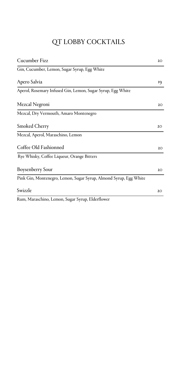# QT LOBBY COCKTAILS

| Cucumber Fizz                                                     | 20 <sub>o</sub> |
|-------------------------------------------------------------------|-----------------|
| Gin, Cucumber, Lemon, Sugar Syrup, Egg White                      |                 |
| Apero Salvia                                                      | 19              |
| Aperol, Rosemary Infused Gin, Lemon, Sugar Syrup, Egg White       |                 |
| Mezcal Negroni                                                    | 20              |
| Mezcal, Dry Vermouth, Amaro Montenegro                            |                 |
| Smoked Cherry                                                     | 20              |
| Mezcal, Aperol, Maraschino, Lemon                                 |                 |
| Coffee Old Fashionned                                             | 20              |
| Rye Whisky, Coffee Liqueur, Orange Bitters                        |                 |
| Boysenberry Sour                                                  | 20              |
| Pink Gin, Montenegro, Lemon, Sugar Syrup, Almond Syrup, Egg White |                 |
| Swizzle                                                           | 20              |

Rum, Maraschino, Lemon, Sugar Syrup, Elderflower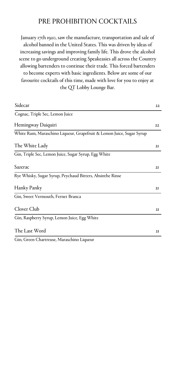#### PRE PROHIBITION COCKTAILS

January 17th 1920, saw the manufacture, transportation and sale of alcohol banned in the United States. This was driven by ideas of increasing savings and improving family life. This drove the alcohol scene to go underground creating Speakeasies all across the Country allowing bartenders to continue their trade. This forced bartenders to become experts with basic ingredients. Below are some of our favourite cocktails of this time, made with love for you to enjoy at the QT Lobby Lounge Bar.

| Sidecar                                                              | 22 |
|----------------------------------------------------------------------|----|
| Cognac, Triple Sec, Lemon Juice                                      |    |
| Hemingway Daiquiri                                                   | 22 |
| White Rum, Maraschino Liqueur, Grapefruit & Lemon Juice, Sugar Syrup |    |
| The White Lady                                                       | 2I |
| Gin, Triple Sec, Lemon Juice, Sugar Syrup, Egg White                 |    |
| Sazerac                                                              | 2I |
| Rye Whisky, Sugar Syrup, Peychaud Bitters, Absinthe Rinse            |    |
| Hanky Panky                                                          | 2I |
| Gin, Sweet Vermouth, Fernet Branca                                   |    |
| Clover Club                                                          | 2I |
| Gin, Raspberry Syrup, Lemon Juice, Egg White                         |    |
| The Last Word                                                        | 2I |
| Gin, Green Chartreuse, Maraschino Liqueur                            |    |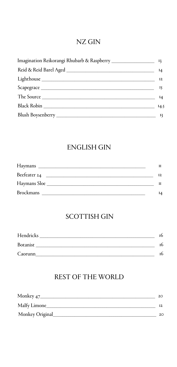### NZ GIN

|                                                                                                                                                                                                                                | $I_4$ |
|--------------------------------------------------------------------------------------------------------------------------------------------------------------------------------------------------------------------------------|-------|
|                                                                                                                                                                                                                                | I2    |
|                                                                                                                                                                                                                                | 15    |
| The Source that the state of the state of the state of the state of the state of the state of the state of the state of the state of the state of the state of the state of the state of the state of the state of the state o |       |
|                                                                                                                                                                                                                                | I4.5  |
|                                                                                                                                                                                                                                | 13    |

### **ENGLISH GIN**

| Haymans          |    |
|------------------|----|
| Beefeater 24     |    |
| Haymans Sloe     |    |
| <b>Brockmans</b> | 14 |

## **SCOTTISH GIN**

| Hendricks |  |
|-----------|--|
| Botanist  |  |
| Caorunn   |  |

### **REST OF THE WORLD**

| Monkey 47_      |    |
|-----------------|----|
| Malfy Limone_   |    |
| Monkey Original | 20 |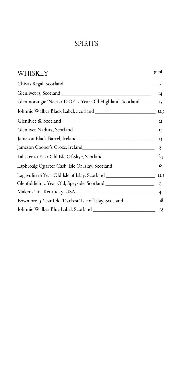### SPIRITS

| <b>WHISKEY</b>                                                                       | zoml  |
|--------------------------------------------------------------------------------------|-------|
|                                                                                      | 12    |
|                                                                                      | $I_4$ |
| Glenmorangie 'Nectar D'Or' 12 Year Old Highland, Scotland_________ 15                |       |
|                                                                                      |       |
|                                                                                      |       |
|                                                                                      | 15    |
|                                                                                      |       |
|                                                                                      |       |
|                                                                                      |       |
| Laphroaig Quarter Cask' Isle Of Islay, Scotland _________________________________ 18 |       |
|                                                                                      |       |
|                                                                                      |       |
|                                                                                      |       |
| Bowmore 15 Year Old 'Darkest' Isle of Islay, Scotland ____________________ 18        |       |
|                                                                                      |       |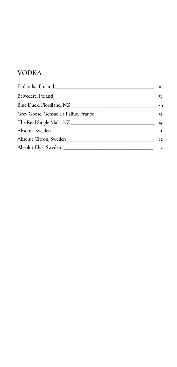## VODKA

|                                               | П           |
|-----------------------------------------------|-------------|
|                                               | 13          |
|                                               |             |
|                                               |             |
|                                               |             |
|                                               | $_{\rm II}$ |
| Absolut Citron, Sweden Absolut Citron, Sweden | I2          |
|                                               | I2          |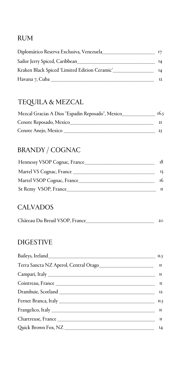### RUM

| Diplomático Reserva Exclusiva, Venezuela      |    |
|-----------------------------------------------|----|
| Sailor Jerry Spiced, Caribbean_               | 14 |
| Kraken Black Spiced 'Limited Edition Ceramic' | 14 |
| Havana 7, Cuba _                              | 12 |

# TEQUILA & MEZCAL

| Mezcal Gracias A Dios "Espadin Reposado", Mexico | 16.5 |
|--------------------------------------------------|------|
| Cenote Reposado, Mexico                          |      |
| Cenote Anejo, Mexico                             |      |

# BRANDY / COGNAC

| Hennessy VSOP Cognac, France | 18 |
|------------------------------|----|
| Martel VS Cognac, France     |    |
| Martel VSOP Cognac, France   | 16 |
| St Remy VSOP, France         |    |

### **CALVADOS**

| Château Du Breuil VSOP, France |  |
|--------------------------------|--|
|--------------------------------|--|

### DIGESTIVE

|                                                              | II.5  |
|--------------------------------------------------------------|-------|
| Terra Sancta NZ Aperol, Central Otago_______________________ | и     |
|                                                              | и     |
|                                                              |       |
|                                                              | I2    |
|                                                              | II.5  |
|                                                              | и     |
|                                                              | П     |
|                                                              | $I_4$ |